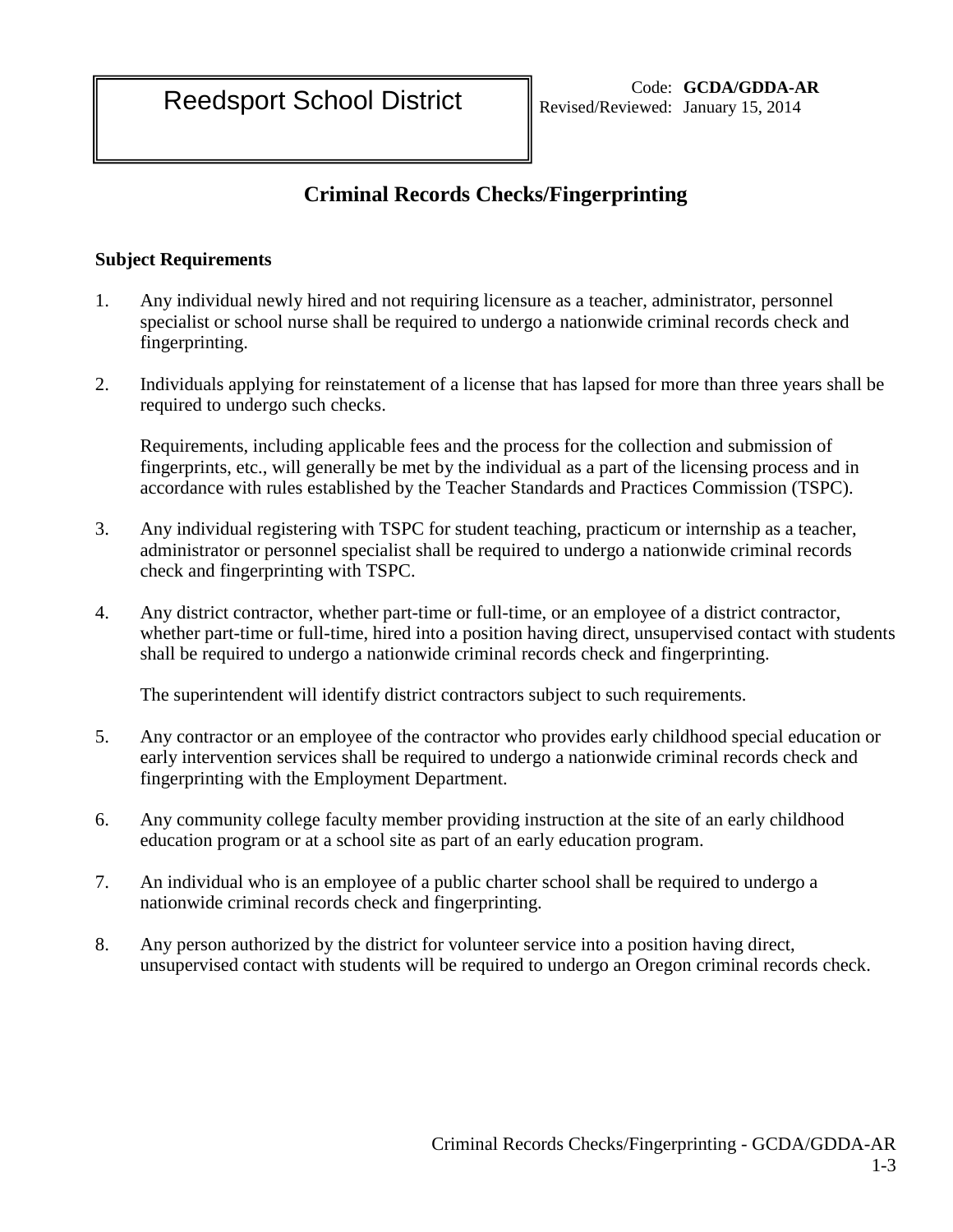# **Criminal Records Checks/Fingerprinting**

### **Subject Requirements**

- 1. Any individual newly hired and not requiring licensure as a teacher, administrator, personnel specialist or school nurse shall be required to undergo a nationwide criminal records check and fingerprinting.
- 2. Individuals applying for reinstatement of a license that has lapsed for more than three years shall be required to undergo such checks.

Requirements, including applicable fees and the process for the collection and submission of fingerprints, etc., will generally be met by the individual as a part of the licensing process and in accordance with rules established by the Teacher Standards and Practices Commission (TSPC).

- 3. Any individual registering with TSPC for student teaching, practicum or internship as a teacher, administrator or personnel specialist shall be required to undergo a nationwide criminal records check and fingerprinting with TSPC.
- 4. Any district contractor, whether part-time or full-time, or an employee of a district contractor, whether part-time or full-time, hired into a position having direct, unsupervised contact with students shall be required to undergo a nationwide criminal records check and fingerprinting.

The superintendent will identify district contractors subject to such requirements.

- 5. Any contractor or an employee of the contractor who provides early childhood special education or early intervention services shall be required to undergo a nationwide criminal records check and fingerprinting with the Employment Department.
- 6. Any community college faculty member providing instruction at the site of an early childhood education program or at a school site as part of an early education program.
- 7. An individual who is an employee of a public charter school shall be required to undergo a nationwide criminal records check and fingerprinting.
- 8. Any person authorized by the district for volunteer service into a position having direct, unsupervised contact with students will be required to undergo an Oregon criminal records check.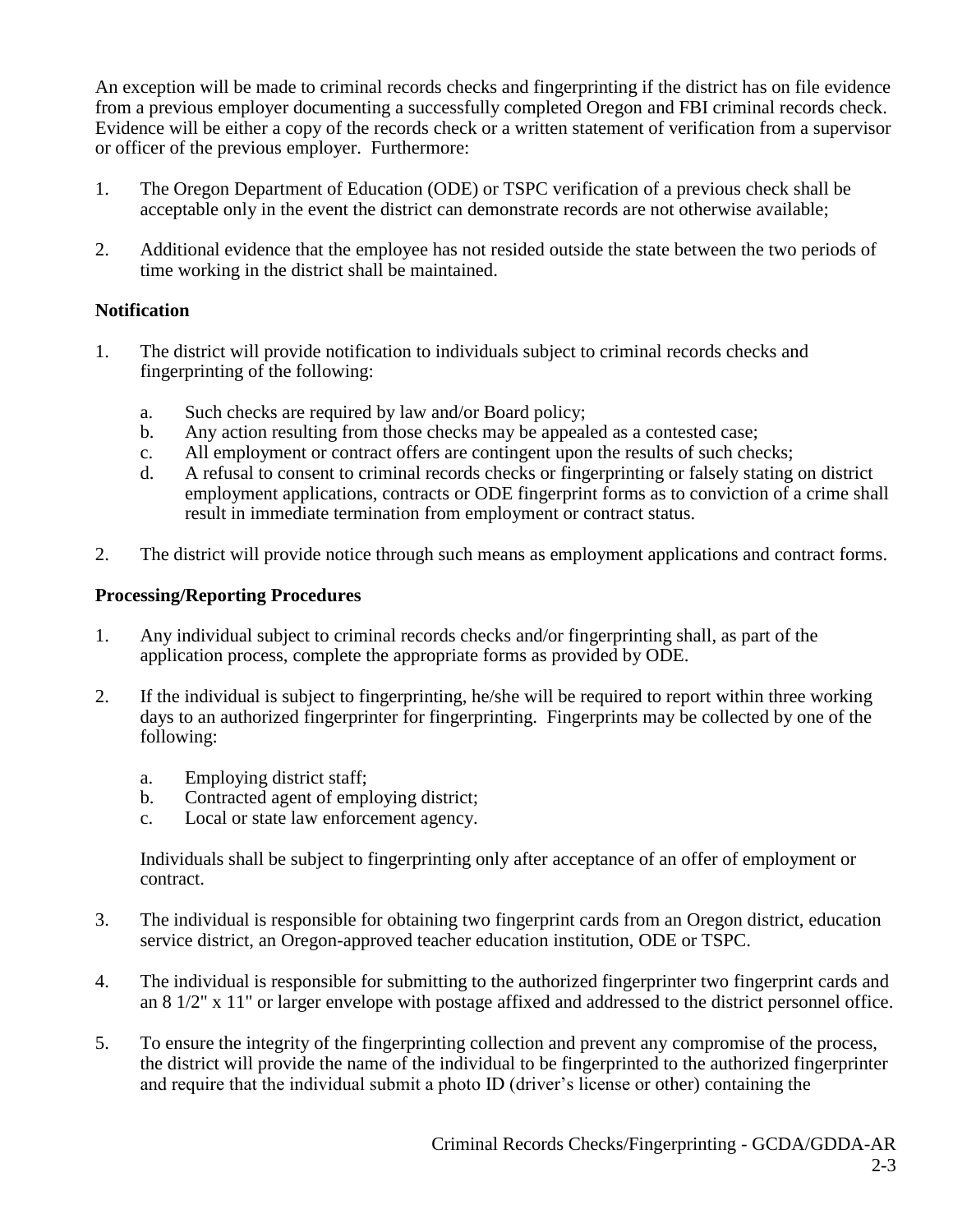An exception will be made to criminal records checks and fingerprinting if the district has on file evidence from a previous employer documenting a successfully completed Oregon and FBI criminal records check. Evidence will be either a copy of the records check or a written statement of verification from a supervisor or officer of the previous employer. Furthermore:

- 1. The Oregon Department of Education (ODE) or TSPC verification of a previous check shall be acceptable only in the event the district can demonstrate records are not otherwise available;
- 2. Additional evidence that the employee has not resided outside the state between the two periods of time working in the district shall be maintained.

### **Notification**

- 1. The district will provide notification to individuals subject to criminal records checks and fingerprinting of the following:
	- a. Such checks are required by law and/or Board policy;
	- b. Any action resulting from those checks may be appealed as a contested case;
	- c. All employment or contract offers are contingent upon the results of such checks;
	- d. A refusal to consent to criminal records checks or fingerprinting or falsely stating on district employment applications, contracts or ODE fingerprint forms as to conviction of a crime shall result in immediate termination from employment or contract status.
- 2. The district will provide notice through such means as employment applications and contract forms.

#### **Processing/Reporting Procedures**

- 1. Any individual subject to criminal records checks and/or fingerprinting shall, as part of the application process, complete the appropriate forms as provided by ODE.
- 2. If the individual is subject to fingerprinting, he/she will be required to report within three working days to an authorized fingerprinter for fingerprinting. Fingerprints may be collected by one of the following:
	- a. Employing district staff;
	- b. Contracted agent of employing district;
	- c. Local or state law enforcement agency.

Individuals shall be subject to fingerprinting only after acceptance of an offer of employment or contract.

- 3. The individual is responsible for obtaining two fingerprint cards from an Oregon district, education service district, an Oregon-approved teacher education institution, ODE or TSPC.
- 4. The individual is responsible for submitting to the authorized fingerprinter two fingerprint cards and an 8 1/2" x 11" or larger envelope with postage affixed and addressed to the district personnel office.
- 5. To ensure the integrity of the fingerprinting collection and prevent any compromise of the process, the district will provide the name of the individual to be fingerprinted to the authorized fingerprinter and require that the individual submit a photo ID (driver's license or other) containing the